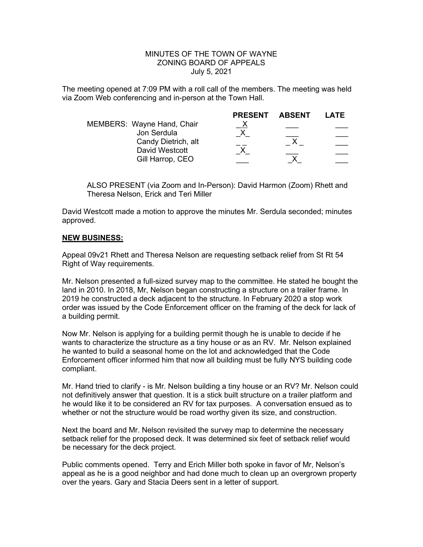## MINUTES OF THE TOWN OF WAYNE ZONING BOARD OF APPEALS July 5, 2021

The meeting opened at 7:09 PM with a roll call of the members. The meeting was held via Zoom Web conferencing and in-person at the Town Hall.

|                                       | <b>PRESENT</b> | <b>ABSENT</b> | LATE |
|---------------------------------------|----------------|---------------|------|
| MEMBERS: Wayne Hand, Chair            |                |               |      |
| Jon Serdula                           |                |               |      |
| Candy Dietrich, alt<br>David Westcott |                |               |      |
| Gill Harrop, CEO                      |                |               |      |
|                                       |                |               |      |

ALSO PRESENT (via Zoom and In-Person): David Harmon (Zoom) Rhett and Theresa Nelson, Erick and Teri Miller

David Westcott made a motion to approve the minutes Mr. Serdula seconded; minutes approved.

## NEW BUSINESS:

Appeal 09v21 Rhett and Theresa Nelson are requesting setback relief from St Rt 54 Right of Way requirements.

Mr. Nelson presented a full-sized survey map to the committee. He stated he bought the land in 2010. In 2018, Mr, Nelson began constructing a structure on a trailer frame. In 2019 he constructed a deck adjacent to the structure. In February 2020 a stop work order was issued by the Code Enforcement officer on the framing of the deck for lack of a building permit.

Now Mr. Nelson is applying for a building permit though he is unable to decide if he wants to characterize the structure as a tiny house or as an RV. Mr. Nelson explained he wanted to build a seasonal home on the lot and acknowledged that the Code Enforcement officer informed him that now all building must be fully NYS building code compliant.

Mr. Hand tried to clarify - is Mr. Nelson building a tiny house or an RV? Mr. Nelson could not definitively answer that question. It is a stick built structure on a trailer platform and he would like it to be considered an RV for tax purposes. A conversation ensued as to whether or not the structure would be road worthy given its size, and construction.

Next the board and Mr. Nelson revisited the survey map to determine the necessary setback relief for the proposed deck. It was determined six feet of setback relief would be necessary for the deck project.

Public comments opened. Terry and Erich Miller both spoke in favor of Mr, Nelson's appeal as he is a good neighbor and had done much to clean up an overgrown property over the years. Gary and Stacia Deers sent in a letter of support.